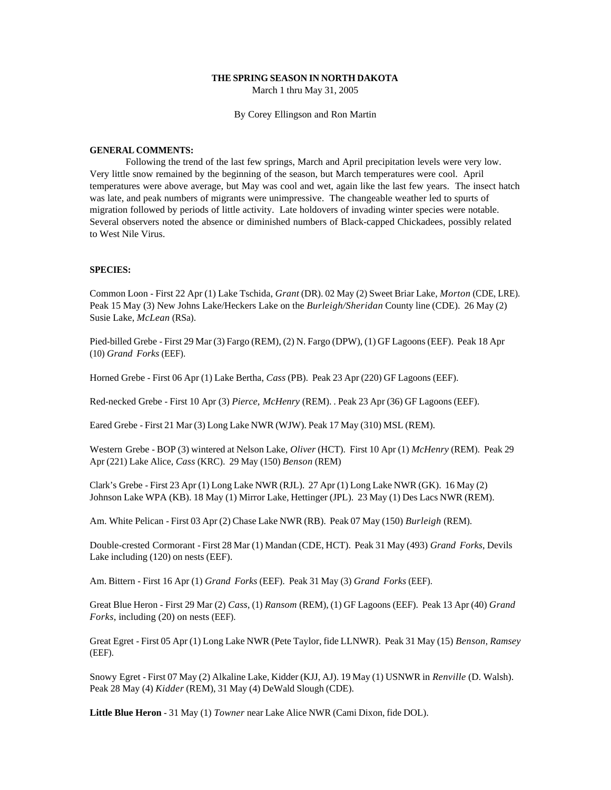#### **THE SPRING SEASON IN NORTH DAKOTA**

March 1 thru May 31, 2005

By Corey Ellingson and Ron Martin

#### **GENERAL COMMENTS:**

Following the trend of the last few springs, March and April precipitation levels were very low. Very little snow remained by the beginning of the season, but March temperatures were cool. April temperatures were above average, but May was cool and wet, again like the last few years. The insect hatch was late, and peak numbers of migrants were unimpressive. The changeable weather led to spurts of migration followed by periods of little activity. Late holdovers of invading winter species were notable. Several observers noted the absence or diminished numbers of Black-capped Chickadees, possibly related to West Nile Virus.

# **SPECIES:**

Common Loon - First 22 Apr (1) Lake Tschida, *Grant* (DR). 02 May (2) Sweet Briar Lake, *Morton* (CDE, LRE). Peak 15 May (3) New Johns Lake/Heckers Lake on the *Burleigh/Sheridan* County line (CDE). 26 May (2) Susie Lake, *McLean* (RSa).

Pied-billed Grebe - First 29 Mar (3) Fargo (REM), (2) N. Fargo (DPW), (1) GF Lagoons (EEF). Peak 18 Apr (10) *Grand Forks* (EEF).

Horned Grebe - First 06 Apr (1) Lake Bertha, *Cass* (PB). Peak 23 Apr (220) GF Lagoons (EEF).

Red-necked Grebe - First 10 Apr (3) *Pierce, McHenry* (REM). . Peak 23 Apr (36) GF Lagoons (EEF).

Eared Grebe - First 21 Mar (3) Long Lake NWR (WJW). Peak 17 May (310) MSL (REM).

Western Grebe - BOP (3) wintered at Nelson Lake, *Oliver* (HCT). First 10 Apr (1) *McHenry* (REM). Peak 29 Apr (221) Lake Alice, *Cass* (KRC). 29 May (150) *Benson* (REM)

Clark's Grebe - First 23 Apr (1) Long Lake NWR (RJL). 27 Apr (1) Long Lake NWR (GK). 16 May (2) Johnson Lake WPA (KB). 18 May (1) Mirror Lake, Hettinger (JPL). 23 May (1) Des Lacs NWR (REM).

Am. White Pelican - First 03 Apr (2) Chase Lake NWR (RB). Peak 07 May (150) *Burleigh* (REM).

Double-crested Cormorant - First 28 Mar (1) Mandan (CDE, HCT). Peak 31 May (493) *Grand Forks*, Devils Lake including (120) on nests (EEF).

Am. Bittern - First 16 Apr (1) *Grand Forks* (EEF). Peak 31 May (3) *Grand Forks* (EEF).

Great Blue Heron - First 29 Mar (2) *Cass*, (1) *Ransom* (REM), (1) GF Lagoons (EEF). Peak 13 Apr (40) *Grand Forks*, including (20) on nests (EEF).

Great Egret - First 05 Apr (1) Long Lake NWR (Pete Taylor, fide LLNWR). Peak 31 May (15) *Benson*, *Ramsey* (EEF).

Snowy Egret - First 07 May (2) Alkaline Lake, Kidder (KJJ, AJ). 19 May (1) USNWR in *Renville* (D. Walsh). Peak 28 May (4) *Kidder* (REM), 31 May (4) DeWald Slough (CDE).

**Little Blue Heron** - 31 May (1) *Towner* near Lake Alice NWR (Cami Dixon, fide DOL).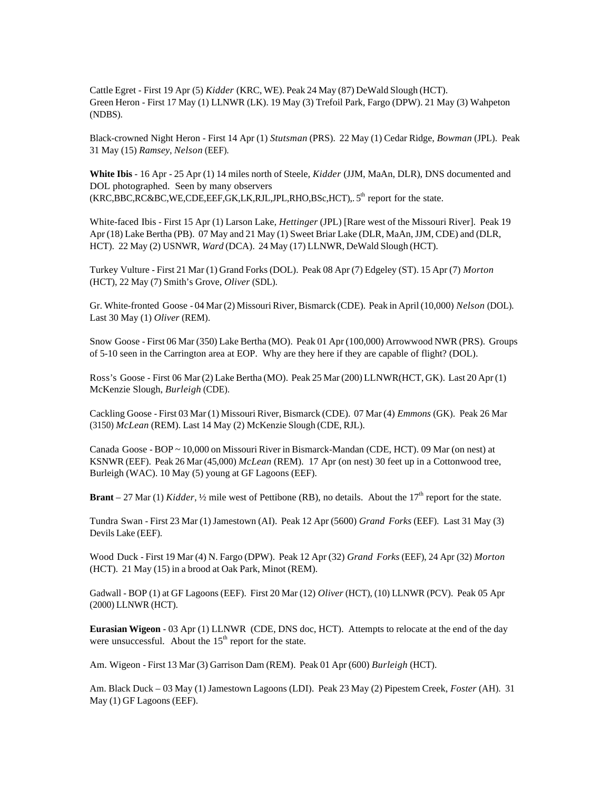Cattle Egret - First 19 Apr (5) *Kidder* (KRC, WE). Peak 24 May (87) DeWald Slough (HCT). Green Heron - First 17 May (1) LLNWR (LK). 19 May (3) Trefoil Park, Fargo (DPW). 21 May (3) Wahpeton (NDBS).

Black-crowned Night Heron - First 14 Apr (1) *Stutsman* (PRS). 22 May (1) Cedar Ridge, *Bowman* (JPL). Peak 31 May (15) *Ramsey*, *Nelson* (EEF).

**White Ibis** - 16 Apr - 25 Apr (1) 14 miles north of Steele, *Kidder* (JJM, MaAn, DLR), DNS documented and DOL photographed. Seen by many observers  $(KRC,BBC,RC&BC,WE, CDE, EEF, GK, LK, RJL, JPL, RHO, BSc, HCT)$ ,.  $5<sup>th</sup>$  report for the state.

White-faced Ibis - First 15 Apr (1) Larson Lake, *Hettinger* (JPL) [Rare west of the Missouri River]. Peak 19 Apr (18) Lake Bertha (PB). 07 May and 21 May (1) Sweet Briar Lake (DLR, MaAn, JJM, CDE) and (DLR, HCT). 22 May (2) USNWR, *Ward* (DCA). 24 May (17) LLNWR, DeWald Slough (HCT).

Turkey Vulture - First 21 Mar (1) Grand Forks (DOL). Peak 08 Apr (7) Edgeley (ST). 15 Apr (7) *Morton* (HCT), 22 May (7) Smith's Grove, *Oliver* (SDL).

Gr. White-fronted Goose - 04 Mar (2) Missouri River, Bismarck (CDE). Peak in April (10,000) *Nelson* (DOL). Last 30 May (1) *Oliver* (REM).

Snow Goose - First 06 Mar (350) Lake Bertha (MO). Peak 01 Apr (100,000) Arrowwood NWR (PRS). Groups of 5-10 seen in the Carrington area at EOP. Why are they here if they are capable of flight? (DOL).

Ross's Goose - First 06 Mar (2) Lake Bertha (MO). Peak 25 Mar (200) LLNWR(HCT, GK). Last 20 Apr (1) McKenzie Slough, *Burleigh* (CDE).

Cackling Goose - First 03 Mar (1) Missouri River, Bismarck (CDE). 07 Mar (4) *Emmons* (GK). Peak 26 Mar (3150) *McLean* (REM). Last 14 May (2) McKenzie Slough (CDE, RJL).

Canada Goose - BOP ~ 10,000 on Missouri River in Bismarck-Mandan (CDE, HCT). 09 Mar (on nest) at KSNWR (EEF). Peak 26 Mar (45,000) *McLean* (REM). 17 Apr (on nest) 30 feet up in a Cottonwood tree, Burleigh (WAC). 10 May (5) young at GF Lagoons (EEF).

**Brant** – 27 Mar (1) *Kidder*,  $\frac{1}{2}$  mile west of Pettibone (RB), no details. About the  $17<sup>th</sup>$  report for the state.

Tundra Swan - First 23 Mar (1) Jamestown (AI). Peak 12 Apr (5600) *Grand Forks* (EEF). Last 31 May (3) Devils Lake (EEF).

Wood Duck - First 19 Mar (4) N. Fargo (DPW). Peak 12 Apr (32) *Grand Forks* (EEF), 24 Apr (32) *Morton* (HCT). 21 May (15) in a brood at Oak Park, Minot (REM).

Gadwall - BOP (1) at GF Lagoons (EEF). First 20 Mar (12) *Oliver* (HCT), (10) LLNWR (PCV). Peak 05 Apr (2000) LLNWR (HCT).

**Eurasian Wigeon** - 03 Apr (1) LLNWR (CDE, DNS doc, HCT). Attempts to relocate at the end of the day were unsuccessful. About the  $15<sup>th</sup>$  report for the state.

Am. Wigeon - First 13 Mar (3) Garrison Dam (REM). Peak 01 Apr (600) *Burleigh* (HCT).

Am. Black Duck – 03 May (1) Jamestown Lagoons (LDI). Peak 23 May (2) Pipestem Creek, *Foster* (AH). 31 May (1) GF Lagoons (EEF).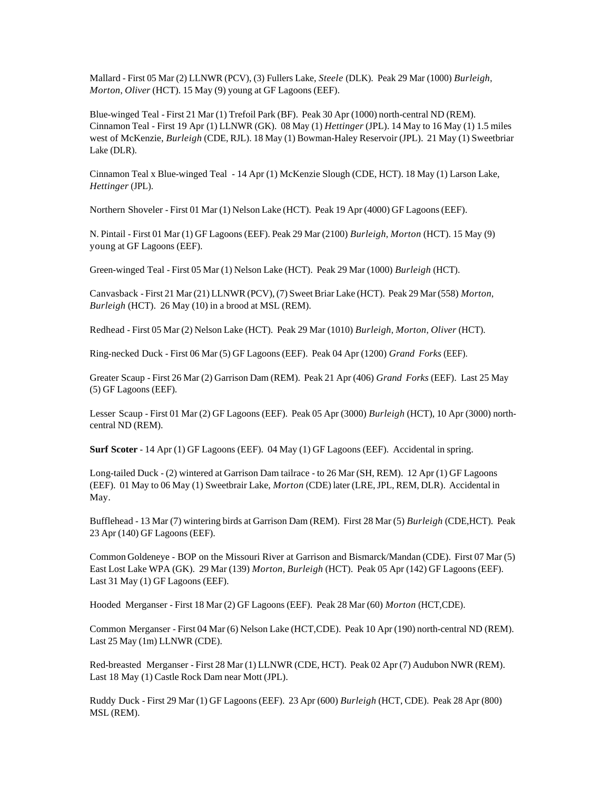Mallard - First 05 Mar (2) LLNWR (PCV), (3) Fullers Lake, *Steele* (DLK). Peak 29 Mar (1000) *Burleigh*, *Morton*, *Oliver* (HCT). 15 May (9) young at GF Lagoons (EEF).

Blue-winged Teal - First 21 Mar (1) Trefoil Park (BF). Peak 30 Apr (1000) north-central ND (REM). Cinnamon Teal - First 19 Apr (1) LLNWR (GK). 08 May (1) *Hettinger* (JPL). 14 May to 16 May (1) 1.5 miles west of McKenzie, *Burleigh* (CDE, RJL). 18 May (1) Bowman-Haley Reservoir (JPL). 21 May (1) Sweetbriar Lake (DLR).

Cinnamon Teal x Blue-winged Teal - 14 Apr (1) McKenzie Slough (CDE, HCT). 18 May (1) Larson Lake, *Hettinger* (JPL).

Northern Shoveler - First 01 Mar (1) Nelson Lake (HCT). Peak 19 Apr (4000) GF Lagoons (EEF).

N. Pintail - First 01 Mar (1) GF Lagoons (EEF). Peak 29 Mar (2100) *Burleigh*, *Morton* (HCT). 15 May (9) young at GF Lagoons (EEF).

Green-winged Teal - First 05 Mar (1) Nelson Lake (HCT). Peak 29 Mar (1000) *Burleigh* (HCT).

Canvasback - First 21 Mar (21) LLNWR (PCV), (7) Sweet Briar Lake (HCT). Peak 29 Mar (558) *Morton*, *Burleigh* (HCT). 26 May (10) in a brood at MSL (REM).

Redhead - First 05 Mar (2) Nelson Lake (HCT). Peak 29 Mar (1010) *Burleigh*, *Morton*, *Oliver* (HCT).

Ring-necked Duck - First 06 Mar (5) GF Lagoons (EEF). Peak 04 Apr (1200) *Grand Forks* (EEF).

Greater Scaup - First 26 Mar (2) Garrison Dam (REM). Peak 21 Apr (406) *Grand Forks* (EEF). Last 25 May (5) GF Lagoons (EEF).

Lesser Scaup - First 01 Mar (2) GF Lagoons (EEF). Peak 05 Apr (3000) *Burleigh* (HCT), 10 Apr (3000) northcentral ND (REM).

**Surf Scoter** - 14 Apr (1) GF Lagoons (EEF). 04 May (1) GF Lagoons (EEF). Accidental in spring.

Long-tailed Duck - (2) wintered at Garrison Dam tailrace - to 26 Mar (SH, REM). 12 Apr (1) GF Lagoons (EEF). 01 May to 06 May (1) Sweetbrair Lake, *Morton* (CDE) later (LRE, JPL, REM, DLR). Accidental in May.

Bufflehead - 13 Mar (7) wintering birds at Garrison Dam (REM). First 28 Mar (5) *Burleigh* (CDE,HCT). Peak 23 Apr (140) GF Lagoons (EEF).

Common Goldeneye - BOP on the Missouri River at Garrison and Bismarck/Mandan (CDE). First 07 Mar (5) East Lost Lake WPA (GK). 29 Mar (139) *Morton*, *Burleigh* (HCT). Peak 05 Apr (142) GF Lagoons (EEF). Last 31 May (1) GF Lagoons (EEF).

Hooded Merganser - First 18 Mar (2) GF Lagoons (EEF). Peak 28 Mar (60) *Morton* (HCT,CDE).

Common Merganser - First 04 Mar (6) Nelson Lake (HCT,CDE). Peak 10 Apr (190) north-central ND (REM). Last 25 May (1m) LLNWR (CDE).

Red-breasted Merganser - First 28 Mar (1) LLNWR (CDE, HCT). Peak 02 Apr (7) Audubon NWR (REM). Last 18 May (1) Castle Rock Dam near Mott (JPL).

Ruddy Duck - First 29 Mar (1) GF Lagoons (EEF). 23 Apr (600) *Burleigh* (HCT, CDE). Peak 28 Apr (800) MSL (REM).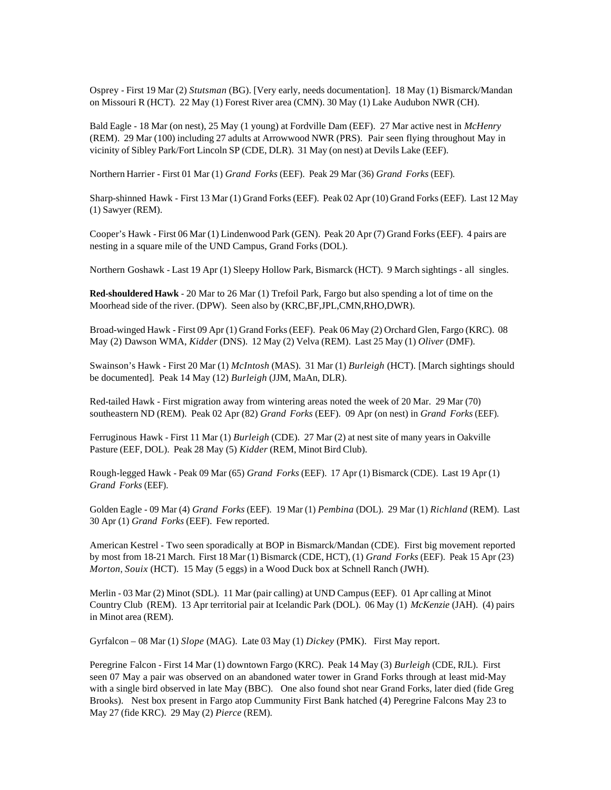Osprey - First 19 Mar (2) *Stutsman* (BG). [Very early, needs documentation]. 18 May (1) Bismarck/Mandan on Missouri R (HCT). 22 May (1) Forest River area (CMN). 30 May (1) Lake Audubon NWR (CH).

Bald Eagle - 18 Mar (on nest), 25 May (1 young) at Fordville Dam (EEF). 27 Mar active nest in *McHenry*  (REM). 29 Mar (100) including 27 adults at Arrowwood NWR (PRS). Pair seen flying throughout May in vicinity of Sibley Park/Fort Lincoln SP (CDE, DLR). 31 May (on nest) at Devils Lake (EEF).

Northern Harrier - First 01 Mar (1) *Grand Forks* (EEF). Peak 29 Mar (36) *Grand Forks* (EEF).

Sharp-shinned Hawk - First 13 Mar (1) Grand Forks (EEF). Peak 02 Apr (10) Grand Forks (EEF). Last 12 May (1) Sawyer (REM).

Cooper's Hawk - First 06 Mar (1) Lindenwood Park (GEN). Peak 20 Apr (7) Grand Forks (EEF). 4 pairs are nesting in a square mile of the UND Campus, Grand Forks (DOL).

Northern Goshawk - Last 19 Apr (1) Sleepy Hollow Park, Bismarck (HCT). 9 March sightings - all singles.

**Red-shouldered Hawk** - 20 Mar to 26 Mar (1) Trefoil Park, Fargo but also spending a lot of time on the Moorhead side of the river. (DPW). Seen also by (KRC,BF,JPL,CMN,RHO,DWR).

Broad-winged Hawk - First 09 Apr (1) Grand Forks (EEF). Peak 06 May (2) Orchard Glen, Fargo (KRC). 08 May (2) Dawson WMA, *Kidder* (DNS). 12 May (2) Velva (REM). Last 25 May (1) *Oliver* (DMF).

Swainson's Hawk - First 20 Mar (1) *McIntosh* (MAS). 31 Mar (1) *Burleigh* (HCT). [March sightings should be documented]. Peak 14 May (12) *Burleigh* (JJM, MaAn, DLR).

Red-tailed Hawk - First migration away from wintering areas noted the week of 20 Mar. 29 Mar (70) southeastern ND (REM). Peak 02 Apr (82) *Grand Forks* (EEF). 09 Apr (on nest) in *Grand Forks* (EEF).

Ferruginous Hawk - First 11 Mar (1) *Burleigh* (CDE). 27 Mar (2) at nest site of many years in Oakville Pasture (EEF, DOL). Peak 28 May (5) *Kidder* (REM, Minot Bird Club).

Rough-legged Hawk - Peak 09 Mar (65) *Grand Forks* (EEF). 17 Apr (1) Bismarck (CDE). Last 19 Apr (1) *Grand Forks* (EEF).

Golden Eagle - 09 Mar (4) *Grand Forks* (EEF). 19 Mar (1) *Pembina* (DOL). 29 Mar (1) *Richland* (REM). Last 30 Apr (1) *Grand Forks* (EEF). Few reported.

American Kestrel - Two seen sporadically at BOP in Bismarck/Mandan (CDE). First big movement reported by most from 18-21 March. First 18 Mar (1) Bismarck (CDE, HCT), (1) *Grand Forks* (EEF). Peak 15 Apr (23) *Morton*, *Souix* (HCT). 15 May (5 eggs) in a Wood Duck box at Schnell Ranch (JWH).

Merlin - 03 Mar (2) Minot (SDL). 11 Mar (pair calling) at UND Campus (EEF). 01 Apr calling at Minot Country Club (REM). 13 Apr territorial pair at Icelandic Park (DOL). 06 May (1) *McKenzie* (JAH). (4) pairs in Minot area (REM).

Gyrfalcon – 08 Mar (1) *Slope* (MAG). Late 03 May (1) *Dickey* (PMK). First May report.

Peregrine Falcon - First 14 Mar (1) downtown Fargo (KRC). Peak 14 May (3) *Burleigh* (CDE, RJL). First seen 07 May a pair was observed on an abandoned water tower in Grand Forks through at least mid-May with a single bird observed in late May (BBC). One also found shot near Grand Forks, later died (fide Greg Brooks). Nest box present in Fargo atop Cummunity First Bank hatched (4) Peregrine Falcons May 23 to May 27 (fide KRC). 29 May (2) *Pierce* (REM).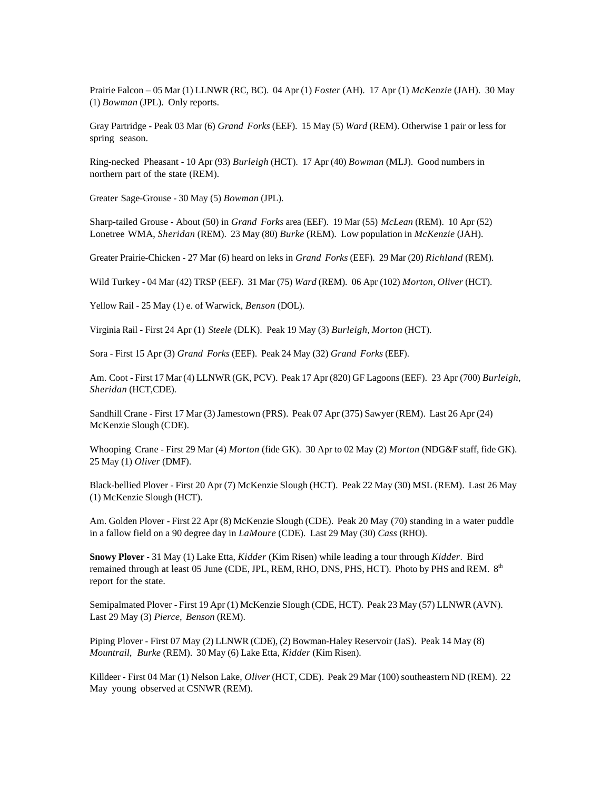Prairie Falcon – 05 Mar (1) LLNWR (RC, BC). 04 Apr (1) *Foster* (AH). 17 Apr (1) *McKenzie* (JAH). 30 May (1) *Bowman* (JPL). Only reports.

Gray Partridge - Peak 03 Mar (6) *Grand Forks* (EEF). 15 May (5) *Ward* (REM). Otherwise 1 pair or less for spring season.

Ring-necked Pheasant - 10 Apr (93) *Burleigh* (HCT). 17 Apr (40) *Bowman* (MLJ). Good numbers in northern part of the state (REM).

Greater Sage-Grouse - 30 May (5) *Bowman* (JPL).

Sharp-tailed Grouse - About (50) in *Grand Forks* area (EEF). 19 Mar (55) *McLean* (REM). 10 Apr (52) Lonetree WMA, *Sheridan* (REM). 23 May (80) *Burke* (REM). Low population in *McKenzie* (JAH).

Greater Prairie-Chicken - 27 Mar (6) heard on leks in *Grand Forks* (EEF). 29 Mar (20) *Richland* (REM).

Wild Turkey - 04 Mar (42) TRSP (EEF). 31 Mar (75) *Ward* (REM). 06 Apr (102) *Morton*, *Oliver* (HCT).

Yellow Rail - 25 May (1) e. of Warwick, *Benson* (DOL).

Virginia Rail - First 24 Apr (1) *Steele* (DLK). Peak 19 May (3) *Burleigh*, *Morton* (HCT).

Sora - First 15 Apr (3) *Grand Forks* (EEF). Peak 24 May (32) *Grand Forks* (EEF).

Am. Coot - First 17 Mar (4) LLNWR (GK, PCV). Peak 17 Apr (820) GF Lagoons (EEF). 23 Apr (700) *Burleigh*, *Sheridan* (HCT,CDE).

Sandhill Crane - First 17 Mar (3) Jamestown (PRS). Peak 07 Apr (375) Sawyer (REM). Last 26 Apr (24) McKenzie Slough (CDE).

Whooping Crane - First 29 Mar (4) *Morton* (fide GK). 30 Apr to 02 May (2) *Morton* (NDG&F staff, fide GK). 25 May (1) *Oliver* (DMF).

Black-bellied Plover - First 20 Apr (7) McKenzie Slough (HCT). Peak 22 May (30) MSL (REM). Last 26 May (1) McKenzie Slough (HCT).

Am. Golden Plover - First 22 Apr (8) McKenzie Slough (CDE). Peak 20 May (70) standing in a water puddle in a fallow field on a 90 degree day in *LaMoure* (CDE). Last 29 May (30) *Cass* (RHO).

**Snowy Plover** - 31 May (1) Lake Etta, *Kidder* (Kim Risen) while leading a tour through *Kidder*. Bird remained through at least 05 June (CDE, JPL, REM, RHO, DNS, PHS, HCT). Photo by PHS and REM.  $8<sup>th</sup>$ report for the state.

Semipalmated Plover - First 19 Apr (1) McKenzie Slough (CDE, HCT). Peak 23 May (57) LLNWR (AVN). Last 29 May (3) *Pierce, Benson* (REM).

Piping Plover - First 07 May (2) LLNWR (CDE), (2) Bowman-Haley Reservoir (JaS). Peak 14 May (8) *Mountrail, Burke* (REM). 30 May (6) Lake Etta, *Kidder* (Kim Risen).

Killdeer - First 04 Mar (1) Nelson Lake, *Oliver* (HCT, CDE). Peak 29 Mar (100) southeastern ND (REM). 22 May young observed at CSNWR (REM).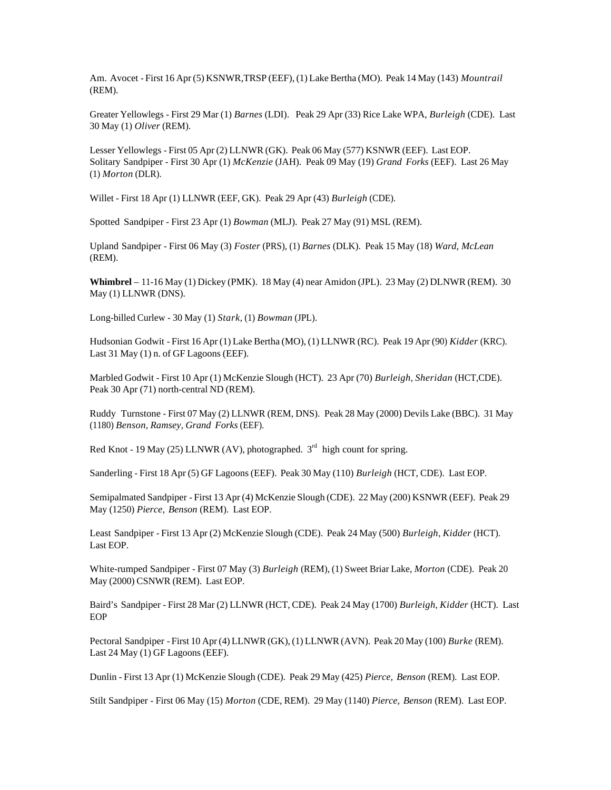Am. Avocet - First 16 Apr (5) KSNWR,TRSP (EEF), (1) Lake Bertha (MO). Peak 14 May (143) *Mountrail* (REM).

Greater Yellowlegs - First 29 Mar (1) *Barnes* (LDI). Peak 29 Apr (33) Rice Lake WPA, *Burleigh* (CDE). Last 30 May (1) *Oliver* (REM).

Lesser Yellowlegs - First 05 Apr (2) LLNWR (GK). Peak 06 May (577) KSNWR (EEF). Last EOP. Solitary Sandpiper - First 30 Apr (1) *McKenzie* (JAH). Peak 09 May (19) *Grand Forks* (EEF). Last 26 May (1) *Morton* (DLR).

Willet - First 18 Apr (1) LLNWR (EEF, GK). Peak 29 Apr (43) *Burleigh* (CDE).

Spotted Sandpiper - First 23 Apr (1) *Bowman* (MLJ). Peak 27 May (91) MSL (REM).

Upland Sandpiper - First 06 May (3) *Foster* (PRS), (1) *Barnes* (DLK). Peak 15 May (18) *Ward, McLean*  (REM).

**Whimbrel** – 11-16 May (1) Dickey (PMK). 18 May (4) near Amidon (JPL). 23 May (2) DLNWR (REM). 30 May (1) LLNWR (DNS).

Long-billed Curlew - 30 May (1) *Stark*, (1) *Bowman* (JPL).

Hudsonian Godwit - First 16 Apr (1) Lake Bertha (MO), (1) LLNWR (RC). Peak 19 Apr (90) *Kidder* (KRC). Last 31 May (1) n. of GF Lagoons (EEF).

Marbled Godwit - First 10 Apr (1) McKenzie Slough (HCT). 23 Apr (70) *Burleigh*, *Sheridan* (HCT,CDE). Peak 30 Apr (71) north-central ND (REM).

Ruddy Turnstone - First 07 May (2) LLNWR (REM, DNS). Peak 28 May (2000) Devils Lake (BBC). 31 May (1180) *Benson*, *Ramsey*, *Grand Forks* (EEF).

Red Knot - 19 May (25) LLNWR (AV), photographed.  $3<sup>rd</sup>$  high count for spring.

Sanderling - First 18 Apr (5) GF Lagoons (EEF). Peak 30 May (110) *Burleigh* (HCT, CDE). Last EOP.

Semipalmated Sandpiper - First 13 Apr (4) McKenzie Slough (CDE). 22 May (200) KSNWR (EEF). Peak 29 May (1250) *Pierce, Benson* (REM). Last EOP.

Least Sandpiper - First 13 Apr (2) McKenzie Slough (CDE). Peak 24 May (500) *Burleigh*, *Kidder* (HCT). Last EOP.

White-rumped Sandpiper - First 07 May (3) *Burleigh* (REM), (1) Sweet Briar Lake, *Morton* (CDE). Peak 20 May (2000) CSNWR (REM). Last EOP.

Baird's Sandpiper - First 28 Mar (2) LLNWR (HCT, CDE). Peak 24 May (1700) *Burleigh*, *Kidder* (HCT). Last EOP

Pectoral Sandpiper - First 10 Apr (4) LLNWR (GK), (1) LLNWR (AVN). Peak 20 May (100) *Burke* (REM). Last 24 May (1) GF Lagoons (EEF).

Dunlin - First 13 Apr (1) McKenzie Slough (CDE). Peak 29 May (425) *Pierce, Benson* (REM). Last EOP.

Stilt Sandpiper - First 06 May (15) *Morton* (CDE, REM). 29 May (1140) *Pierce, Benson* (REM). Last EOP.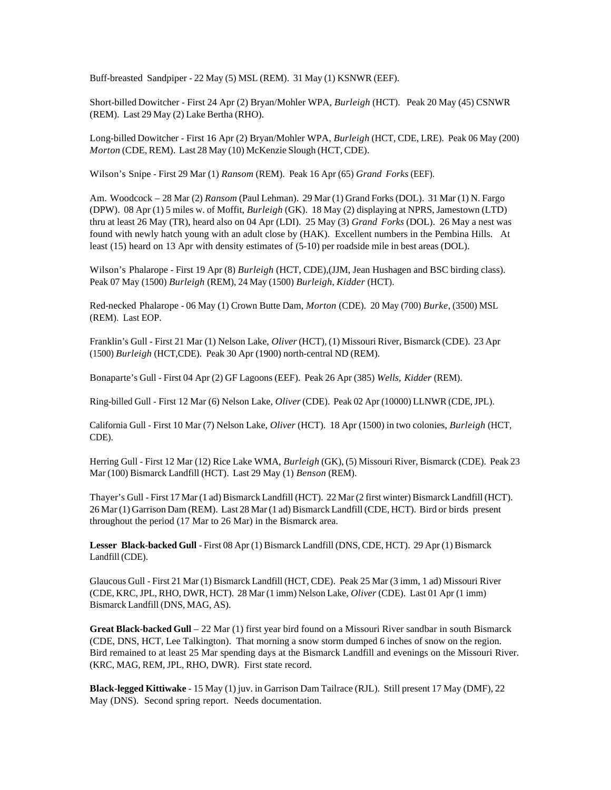Buff-breasted Sandpiper - 22 May (5) MSL (REM). 31 May (1) KSNWR (EEF).

Short-billed Dowitcher - First 24 Apr (2) Bryan/Mohler WPA, *Burleigh* (HCT). Peak 20 May (45) CSNWR (REM). Last 29 May (2) Lake Bertha (RHO).

Long-billed Dowitcher - First 16 Apr (2) Bryan/Mohler WPA, *Burleigh* (HCT, CDE, LRE). Peak 06 May (200) *Morton* (CDE, REM). Last 28 May (10) McKenzie Slough (HCT, CDE).

Wilson's Snipe - First 29 Mar (1) *Ransom* (REM). Peak 16 Apr (65) *Grand Forks* (EEF).

Am. Woodcock – 28 Mar (2) *Ransom* (Paul Lehman). 29 Mar (1) Grand Forks (DOL). 31 Mar (1) N. Fargo (DPW). 08 Apr (1) 5 miles w. of Moffit, *Burleigh* (GK). 18 May (2) displaying at NPRS, Jamestown (LTD) thru at least 26 May (TR), heard also on 04 Apr (LDI). 25 May (3) *Grand Forks* (DOL). 26 May a nest was found with newly hatch young with an adult close by (HAK). Excellent numbers in the Pembina Hills. At least (15) heard on 13 Apr with density estimates of (5-10) per roadside mile in best areas (DOL).

Wilson's Phalarope - First 19 Apr (8) *Burleigh* (HCT, CDE),(JJM, Jean Hushagen and BSC birding class). Peak 07 May (1500) *Burleigh* (REM), 24 May (1500) *Burleigh*, *Kidder* (HCT).

Red-necked Phalarope - 06 May (1) Crown Butte Dam, *Morton* (CDE). 20 May (700) *Burke*, (3500) MSL (REM). Last EOP.

Franklin's Gull - First 21 Mar (1) Nelson Lake, *Oliver* (HCT), (1) Missouri River, Bismarck (CDE). 23 Apr (1500) *Burleigh* (HCT,CDE). Peak 30 Apr (1900) north-central ND (REM).

Bonaparte's Gull - First 04 Apr (2) GF Lagoons (EEF). Peak 26 Apr (385) *Wells, Kidder* (REM).

Ring-billed Gull - First 12 Mar (6) Nelson Lake, *Oliver* (CDE). Peak 02 Apr (10000) LLNWR (CDE, JPL).

California Gull - First 10 Mar (7) Nelson Lake, *Oliver* (HCT). 18 Apr (1500) in two colonies, *Burleigh* (HCT, CDE).

Herring Gull - First 12 Mar (12) Rice Lake WMA, *Burleigh* (GK), (5) Missouri River, Bismarck (CDE). Peak 23 Mar (100) Bismarck Landfill (HCT). Last 29 May (1) *Benson* (REM).

Thayer's Gull - First 17 Mar (1 ad) Bismarck Landfill (HCT). 22 Mar (2 first winter) Bismarck Landfill (HCT). 26 Mar (1) Garrison Dam (REM). Last 28 Mar (1 ad) Bismarck Landfill (CDE, HCT). Bird or birds present throughout the period (17 Mar to 26 Mar) in the Bismarck area.

**Lesser Black-backed Gull** - First 08 Apr (1) Bismarck Landfill (DNS, CDE, HCT). 29 Apr (1) Bismarck Landfill (CDE).

Glaucous Gull - First 21 Mar (1) Bismarck Landfill (HCT, CDE). Peak 25 Mar (3 imm, 1 ad) Missouri River (CDE, KRC, JPL, RHO, DWR, HCT). 28 Mar (1 imm) Nelson Lake, *Oliver* (CDE). Last 01 Apr (1 imm) Bismarck Landfill (DNS, MAG, AS).

**Great Black-backed Gull** – 22 Mar (1) first year bird found on a Missouri River sandbar in south Bismarck (CDE, DNS, HCT, Lee Talkington). That morning a snow storm dumped 6 inches of snow on the region. Bird remained to at least 25 Mar spending days at the Bismarck Landfill and evenings on the Missouri River. (KRC, MAG, REM, JPL, RHO, DWR). First state record.

**Black-legged Kittiwake** - 15 May (1) juv. in Garrison Dam Tailrace (RJL). Still present 17 May (DMF), 22 May (DNS). Second spring report. Needs documentation.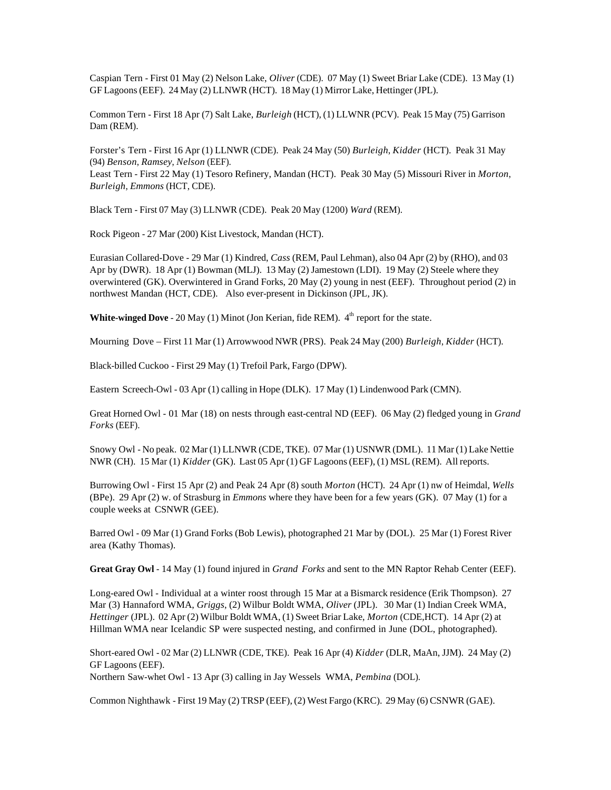Caspian Tern - First 01 May (2) Nelson Lake, *Oliver* (CDE). 07 May (1) Sweet Briar Lake (CDE). 13 May (1) GF Lagoons (EEF). 24 May (2) LLNWR (HCT). 18 May (1) Mirror Lake, Hettinger (JPL).

Common Tern - First 18 Apr (7) Salt Lake, *Burleigh* (HCT), (1) LLWNR (PCV). Peak 15 May (75) Garrison Dam (REM).

Forster's Tern - First 16 Apr (1) LLNWR (CDE). Peak 24 May (50) *Burleigh*, *Kidder* (HCT). Peak 31 May (94) *Benson*, *Ramsey*, *Nelson* (EEF).

Least Tern - First 22 May (1) Tesoro Refinery, Mandan (HCT). Peak 30 May (5) Missouri River in *Morton*, *Burleigh*, *Emmons* (HCT, CDE).

Black Tern - First 07 May (3) LLNWR (CDE). Peak 20 May (1200) *Ward* (REM).

Rock Pigeon - 27 Mar (200) Kist Livestock, Mandan (HCT).

Eurasian Collared-Dove - 29 Mar (1) Kindred, *Cass* (REM, Paul Lehman), also 04 Apr (2) by (RHO), and 03 Apr by (DWR). 18 Apr (1) Bowman (MLJ). 13 May (2) Jamestown (LDI). 19 May (2) Steele where they overwintered (GK). Overwintered in Grand Forks, 20 May (2) young in nest (EEF). Throughout period (2) in northwest Mandan (HCT, CDE). Also ever-present in Dickinson (JPL, JK).

**White-winged Dove** - 20 May (1) Minot (Jon Kerian, fide REM). 4<sup>th</sup> report for the state.

Mourning Dove – First 11 Mar (1) Arrowwood NWR (PRS). Peak 24 May (200) *Burleigh*, *Kidder* (HCT).

Black-billed Cuckoo - First 29 May (1) Trefoil Park, Fargo (DPW).

Eastern Screech-Owl - 03 Apr (1) calling in Hope (DLK). 17 May (1) Lindenwood Park (CMN).

Great Horned Owl - 01 Mar (18) on nests through east-central ND (EEF). 06 May (2) fledged young in *Grand Forks* (EEF).

Snowy Owl - No peak. 02 Mar (1) LLNWR (CDE, TKE). 07 Mar (1) USNWR (DML). 11 Mar (1) Lake Nettie NWR (CH). 15 Mar (1) *Kidder* (GK). Last 05 Apr (1) GF Lagoons (EEF), (1) MSL (REM). All reports.

Burrowing Owl - First 15 Apr (2) and Peak 24 Apr (8) south *Morton* (HCT). 24 Apr (1) nw of Heimdal, *Wells*  (BPe). 29 Apr (2) w. of Strasburg in *Emmons* where they have been for a few years (GK). 07 May (1) for a couple weeks at CSNWR (GEE).

Barred Owl - 09 Mar (1) Grand Forks (Bob Lewis), photographed 21 Mar by (DOL). 25 Mar (1) Forest River area (Kathy Thomas).

**Great Gray Owl** - 14 May (1) found injured in *Grand Forks* and sent to the MN Raptor Rehab Center (EEF).

Long-eared Owl - Individual at a winter roost through 15 Mar at a Bismarck residence (Erik Thompson). 27 Mar (3) Hannaford WMA, *Griggs*, (2) Wilbur Boldt WMA, *Oliver* (JPL). 30 Mar (1) Indian Creek WMA, *Hettinger* (JPL). 02 Apr (2) Wilbur Boldt WMA, (1) Sweet Briar Lake, *Morton* (CDE,HCT). 14 Apr (2) at Hillman WMA near Icelandic SP were suspected nesting, and confirmed in June (DOL, photographed).

Short-eared Owl - 02 Mar (2) LLNWR (CDE, TKE). Peak 16 Apr (4) *Kidder* (DLR, MaAn, JJM). 24 May (2) GF Lagoons (EEF).

Northern Saw-whet Owl - 13 Apr (3) calling in Jay Wessels WMA, *Pembina* (DOL).

Common Nighthawk - First 19 May (2) TRSP (EEF), (2) West Fargo (KRC). 29 May (6) CSNWR (GAE).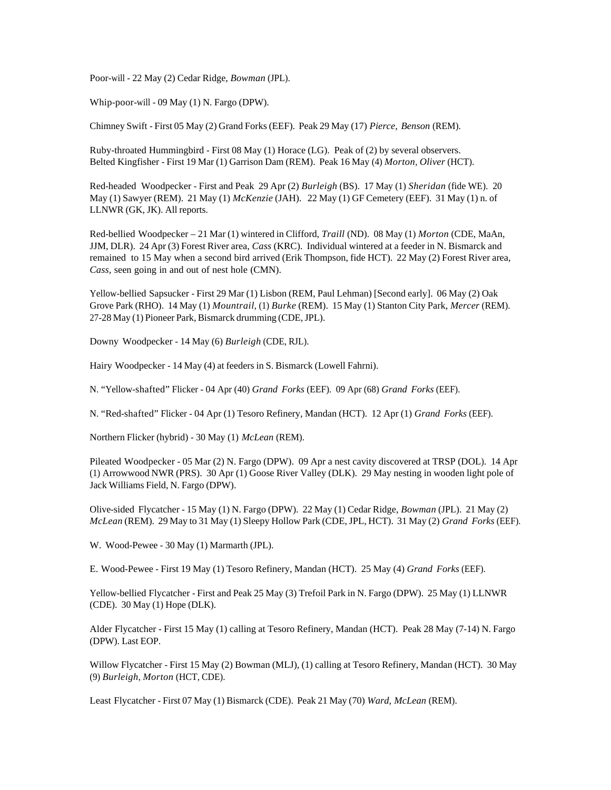Poor-will - 22 May (2) Cedar Ridge, *Bowman* (JPL).

Whip-poor-will - 09 May (1) N. Fargo (DPW).

Chimney Swift - First 05 May (2) Grand Forks (EEF). Peak 29 May (17) *Pierce, Benson* (REM).

Ruby-throated Hummingbird - First 08 May (1) Horace (LG). Peak of (2) by several observers. Belted Kingfisher - First 19 Mar (1) Garrison Dam (REM). Peak 16 May (4) *Morton*, *Oliver* (HCT).

Red-headed Woodpecker - First and Peak 29 Apr (2) *Burleigh* (BS). 17 May (1) *Sheridan* (fide WE). 20 May (1) Sawyer (REM). 21 May (1) *McKenzie* (JAH). 22 May (1) GF Cemetery (EEF). 31 May (1) n. of LLNWR (GK, JK). All reports.

Red-bellied Woodpecker – 21 Mar (1) wintered in Clifford, *Traill* (ND). 08 May (1) *Morton* (CDE, MaAn, JJM, DLR). 24 Apr (3) Forest River area, *Cass* (KRC). Individual wintered at a feeder in N. Bismarck and remained to 15 May when a second bird arrived (Erik Thompson, fide HCT). 22 May (2) Forest River area, *Cass,* seen going in and out of nest hole (CMN).

Yellow-bellied Sapsucker - First 29 Mar (1) Lisbon (REM, Paul Lehman) [Second early]. 06 May (2) Oak Grove Park (RHO). 14 May (1) *Mountrail*, (1) *Burke* (REM). 15 May (1) Stanton City Park, *Mercer* (REM). 27-28 May (1) Pioneer Park, Bismarck drumming (CDE, JPL).

Downy Woodpecker - 14 May (6) *Burleigh* (CDE, RJL).

Hairy Woodpecker - 14 May (4) at feeders in S. Bismarck (Lowell Fahrni).

N. "Yellow-shafted" Flicker - 04 Apr (40) *Grand Forks* (EEF). 09 Apr (68) *Grand Forks* (EEF).

N. "Red-shafted" Flicker - 04 Apr (1) Tesoro Refinery, Mandan (HCT). 12 Apr (1) *Grand Forks* (EEF).

Northern Flicker (hybrid) - 30 May (1) *McLean* (REM).

Pileated Woodpecker - 05 Mar (2) N. Fargo (DPW). 09 Apr a nest cavity discovered at TRSP (DOL). 14 Apr (1) Arrowwood NWR (PRS). 30 Apr (1) Goose River Valley (DLK). 29 May nesting in wooden light pole of Jack Williams Field, N. Fargo (DPW).

Olive-sided Flycatcher - 15 May (1) N. Fargo (DPW). 22 May (1) Cedar Ridge, *Bowman* (JPL). 21 May (2) *McLean* (REM). 29 May to 31 May (1) Sleepy Hollow Park (CDE, JPL, HCT). 31 May (2) *Grand Forks* (EEF).

W. Wood-Pewee - 30 May (1) Marmarth (JPL).

E. Wood-Pewee - First 19 May (1) Tesoro Refinery, Mandan (HCT). 25 May (4) *Grand Forks* (EEF).

Yellow-bellied Flycatcher - First and Peak 25 May (3) Trefoil Park in N. Fargo (DPW). 25 May (1) LLNWR (CDE). 30 May (1) Hope (DLK).

Alder Flycatcher - First 15 May (1) calling at Tesoro Refinery, Mandan (HCT). Peak 28 May (7-14) N. Fargo (DPW). Last EOP.

Willow Flycatcher - First 15 May (2) Bowman (MLJ), (1) calling at Tesoro Refinery, Mandan (HCT). 30 May (9) *Burleigh*, *Morton* (HCT, CDE).

Least Flycatcher - First 07 May (1) Bismarck (CDE). Peak 21 May (70) *Ward, McLean* (REM).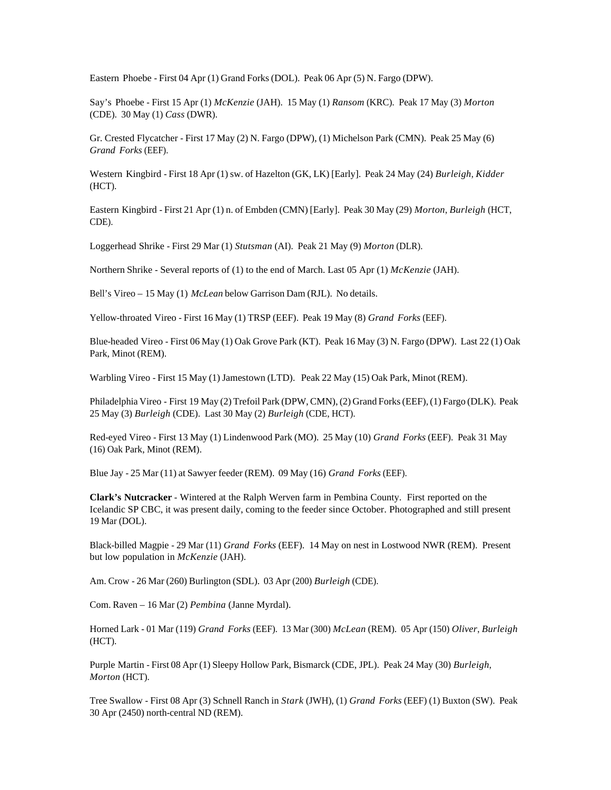Eastern Phoebe - First 04 Apr (1) Grand Forks (DOL). Peak 06 Apr (5) N. Fargo (DPW).

Say's Phoebe - First 15 Apr (1) *McKenzie* (JAH). 15 May (1) *Ransom* (KRC). Peak 17 May (3) *Morton* (CDE). 30 May (1) *Cass* (DWR).

Gr. Crested Flycatcher - First 17 May (2) N. Fargo (DPW), (1) Michelson Park (CMN). Peak 25 May (6) *Grand Forks* (EEF).

Western Kingbird - First 18 Apr (1) sw. of Hazelton (GK, LK) [Early]. Peak 24 May (24) *Burleigh*, *Kidder* (HCT).

Eastern Kingbird - First 21 Apr (1) n. of Embden (CMN) [Early]. Peak 30 May (29) *Morton*, *Burleigh* (HCT, CDE).

Loggerhead Shrike - First 29 Mar (1) *Stutsman* (AI). Peak 21 May (9) *Morton* (DLR).

Northern Shrike - Several reports of (1) to the end of March. Last 05 Apr (1) *McKenzie* (JAH).

Bell's Vireo – 15 May (1) *McLean* below Garrison Dam (RJL). No details.

Yellow-throated Vireo - First 16 May (1) TRSP (EEF). Peak 19 May (8) *Grand Forks* (EEF).

Blue-headed Vireo - First 06 May (1) Oak Grove Park (KT). Peak 16 May (3) N. Fargo (DPW). Last 22 (1) Oak Park, Minot (REM).

Warbling Vireo - First 15 May (1) Jamestown (LTD). Peak 22 May (15) Oak Park, Minot (REM).

Philadelphia Vireo - First 19 May (2) Trefoil Park (DPW, CMN), (2) Grand Forks (EEF), (1) Fargo (DLK). Peak 25 May (3) *Burleigh* (CDE). Last 30 May (2) *Burleigh* (CDE, HCT).

Red-eyed Vireo - First 13 May (1) Lindenwood Park (MO). 25 May (10) *Grand Forks* (EEF). Peak 31 May (16) Oak Park, Minot (REM).

Blue Jay - 25 Mar (11) at Sawyer feeder (REM). 09 May (16) *Grand Forks* (EEF).

**Clark's Nutcracker** - Wintered at the Ralph Werven farm in Pembina County. First reported on the Icelandic SP CBC, it was present daily, coming to the feeder since October. Photographed and still present 19 Mar (DOL).

Black-billed Magpie - 29 Mar (11) *Grand Forks* (EEF). 14 May on nest in Lostwood NWR (REM). Present but low population in *McKenzie* (JAH).

Am. Crow - 26 Mar (260) Burlington (SDL). 03 Apr (200) *Burleigh* (CDE).

Com. Raven – 16 Mar (2) *Pembina* (Janne Myrdal).

Horned Lark - 01 Mar (119) *Grand Forks* (EEF). 13 Mar (300) *McLean* (REM). 05 Apr (150) *Oliver*, *Burleigh* (HCT).

Purple Martin - First 08 Apr (1) Sleepy Hollow Park, Bismarck (CDE, JPL). Peak 24 May (30) *Burleigh*, *Morton* (HCT).

Tree Swallow - First 08 Apr (3) Schnell Ranch in *Stark* (JWH), (1) *Grand Forks* (EEF) (1) Buxton (SW). Peak 30 Apr (2450) north-central ND (REM).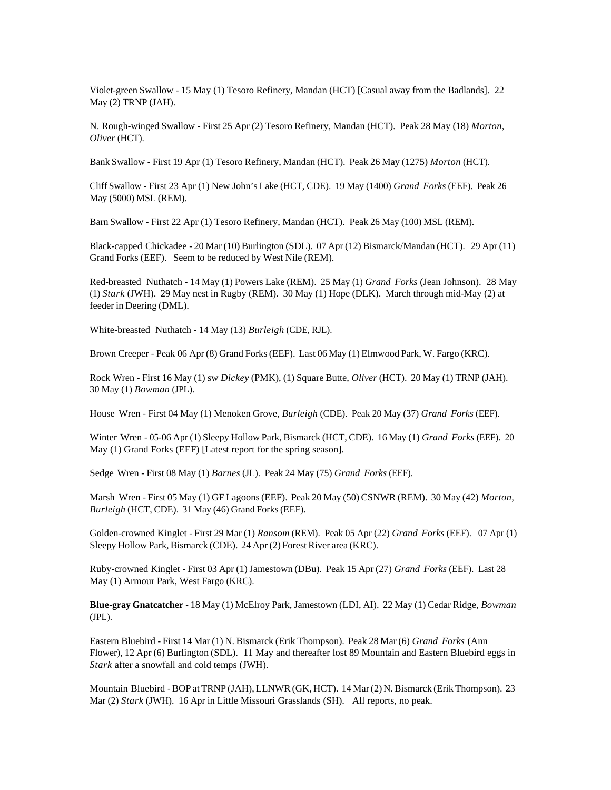Violet-green Swallow - 15 May (1) Tesoro Refinery, Mandan (HCT) [Casual away from the Badlands]. 22 May (2) TRNP (JAH).

N. Rough-winged Swallow - First 25 Apr (2) Tesoro Refinery, Mandan (HCT). Peak 28 May (18) *Morton*, *Oliver* (HCT).

Bank Swallow - First 19 Apr (1) Tesoro Refinery, Mandan (HCT). Peak 26 May (1275) *Morton* (HCT).

Cliff Swallow - First 23 Apr (1) New John's Lake (HCT, CDE). 19 May (1400) *Grand Forks* (EEF). Peak 26 May (5000) MSL (REM).

Barn Swallow - First 22 Apr (1) Tesoro Refinery, Mandan (HCT). Peak 26 May (100) MSL (REM).

Black-capped Chickadee - 20 Mar (10) Burlington (SDL). 07 Apr (12) Bismarck/Mandan (HCT). 29 Apr (11) Grand Forks (EEF). Seem to be reduced by West Nile (REM).

Red-breasted Nuthatch - 14 May (1) Powers Lake (REM). 25 May (1) *Grand Forks* (Jean Johnson). 28 May (1) *Stark* (JWH). 29 May nest in Rugby (REM). 30 May (1) Hope (DLK). March through mid-May (2) at feeder in Deering (DML).

White-breasted Nuthatch - 14 May (13) *Burleigh* (CDE, RJL).

Brown Creeper - Peak 06 Apr (8) Grand Forks (EEF). Last 06 May (1) Elmwood Park, W. Fargo (KRC).

Rock Wren - First 16 May (1) sw *Dickey* (PMK), (1) Square Butte, *Oliver* (HCT). 20 May (1) TRNP (JAH). 30 May (1) *Bowman* (JPL).

House Wren - First 04 May (1) Menoken Grove, *Burleigh* (CDE). Peak 20 May (37) *Grand Forks* (EEF).

Winter Wren - 05-06 Apr (1) Sleepy Hollow Park, Bismarck (HCT, CDE). 16 May (1) *Grand Forks* (EEF). 20 May (1) Grand Forks (EEF) [Latest report for the spring season].

Sedge Wren - First 08 May (1) *Barnes* (JL). Peak 24 May (75) *Grand Forks* (EEF).

Marsh Wren - First 05 May (1) GF Lagoons (EEF). Peak 20 May (50) CSNWR (REM). 30 May (42) *Morton*, *Burleigh* (HCT, CDE). 31 May (46) Grand Forks (EEF).

Golden-crowned Kinglet - First 29 Mar (1) *Ransom* (REM). Peak 05 Apr (22) *Grand Forks* (EEF). 07 Apr (1) Sleepy Hollow Park, Bismarck (CDE). 24 Apr (2) Forest River area (KRC).

Ruby-crowned Kinglet - First 03 Apr (1) Jamestown (DBu). Peak 15 Apr (27) *Grand Forks* (EEF). Last 28 May (1) Armour Park, West Fargo (KRC).

**Blue-gray Gnatcatcher** - 18 May (1) McElroy Park, Jamestown (LDI, AI). 22 May (1) Cedar Ridge, *Bowman* (JPL).

Eastern Bluebird - First 14 Mar (1) N. Bismarck (Erik Thompson). Peak 28 Mar (6) *Grand Forks* (Ann Flower), 12 Apr (6) Burlington (SDL). 11 May and thereafter lost 89 Mountain and Eastern Bluebird eggs in *Stark* after a snowfall and cold temps (JWH).

Mountain Bluebird - BOP at TRNP (JAH), LLNWR (GK, HCT). 14 Mar (2) N. Bismarck (Erik Thompson). 23 Mar (2) *Stark* (JWH). 16 Apr in Little Missouri Grasslands (SH). All reports, no peak.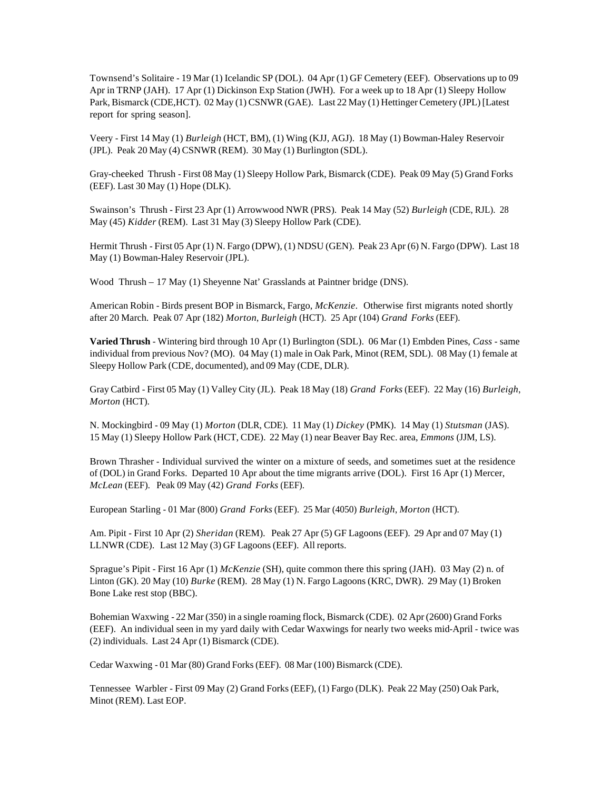Townsend's Solitaire - 19 Mar (1) Icelandic SP (DOL). 04 Apr (1) GF Cemetery (EEF). Observations up to 09 Apr in TRNP (JAH). 17 Apr (1) Dickinson Exp Station (JWH). For a week up to 18 Apr (1) Sleepy Hollow Park, Bismarck (CDE,HCT). 02 May (1) CSNWR (GAE). Last 22 May (1) Hettinger Cemetery (JPL) [Latest report for spring season].

Veery - First 14 May (1) *Burleigh* (HCT, BM), (1) Wing (KJJ, AGJ). 18 May (1) Bowman-Haley Reservoir (JPL). Peak 20 May (4) CSNWR (REM). 30 May (1) Burlington (SDL).

Gray-cheeked Thrush - First 08 May (1) Sleepy Hollow Park, Bismarck (CDE). Peak 09 May (5) Grand Forks (EEF). Last 30 May (1) Hope (DLK).

Swainson's Thrush - First 23 Apr (1) Arrowwood NWR (PRS). Peak 14 May (52) *Burleigh* (CDE, RJL). 28 May (45) *Kidder* (REM). Last 31 May (3) Sleepy Hollow Park (CDE).

Hermit Thrush - First 05 Apr (1) N. Fargo (DPW), (1) NDSU (GEN). Peak 23 Apr (6) N. Fargo (DPW). Last 18 May (1) Bowman-Haley Reservoir (JPL).

Wood Thrush – 17 May (1) Sheyenne Nat' Grasslands at Paintner bridge (DNS).

American Robin - Birds present BOP in Bismarck, Fargo, *McKenzie*. Otherwise first migrants noted shortly after 20 March. Peak 07 Apr (182) *Morton*, *Burleigh* (HCT). 25 Apr (104) *Grand Forks* (EEF).

**Varied Thrush** - Wintering bird through 10 Apr (1) Burlington (SDL). 06 Mar (1) Embden Pines, *Cass* - same individual from previous Nov? (MO). 04 May (1) male in Oak Park, Minot (REM, SDL). 08 May (1) female at Sleepy Hollow Park (CDE, documented), and 09 May (CDE, DLR).

Gray Catbird - First 05 May (1) Valley City (JL). Peak 18 May (18) *Grand Forks* (EEF). 22 May (16) *Burleigh*, *Morton* (HCT).

N. Mockingbird - 09 May (1) *Morton* (DLR, CDE). 11 May (1) *Dickey* (PMK). 14 May (1) *Stutsman* (JAS). 15 May (1) Sleepy Hollow Park (HCT, CDE). 22 May (1) near Beaver Bay Rec. area, *Emmons* (JJM, LS).

Brown Thrasher - Individual survived the winter on a mixture of seeds, and sometimes suet at the residence of (DOL) in Grand Forks. Departed 10 Apr about the time migrants arrive (DOL). First 16 Apr (1) Mercer, *McLean* (EEF). Peak 09 May (42) *Grand Forks* (EEF).

European Starling - 01 Mar (800) *Grand Forks* (EEF). 25 Mar (4050) *Burleigh*, *Morton* (HCT).

Am. Pipit - First 10 Apr (2) *Sheridan* (REM). Peak 27 Apr (5) GF Lagoons (EEF). 29 Apr and 07 May (1) LLNWR (CDE). Last 12 May (3) GF Lagoons (EEF). All reports.

Sprague's Pipit - First 16 Apr (1) *McKenzie* (SH), quite common there this spring (JAH). 03 May (2) n. of Linton (GK). 20 May (10) *Burke* (REM). 28 May (1) N. Fargo Lagoons (KRC, DWR). 29 May (1) Broken Bone Lake rest stop (BBC).

Bohemian Waxwing - 22 Mar (350) in a single roaming flock, Bismarck (CDE). 02 Apr (2600) Grand Forks (EEF). An individual seen in my yard daily with Cedar Waxwings for nearly two weeks mid-April - twice was (2) individuals. Last 24 Apr (1) Bismarck (CDE).

Cedar Waxwing - 01 Mar (80) Grand Forks (EEF). 08 Mar (100) Bismarck (CDE).

Tennessee Warbler - First 09 May (2) Grand Forks (EEF), (1) Fargo (DLK). Peak 22 May (250) Oak Park, Minot (REM). Last EOP.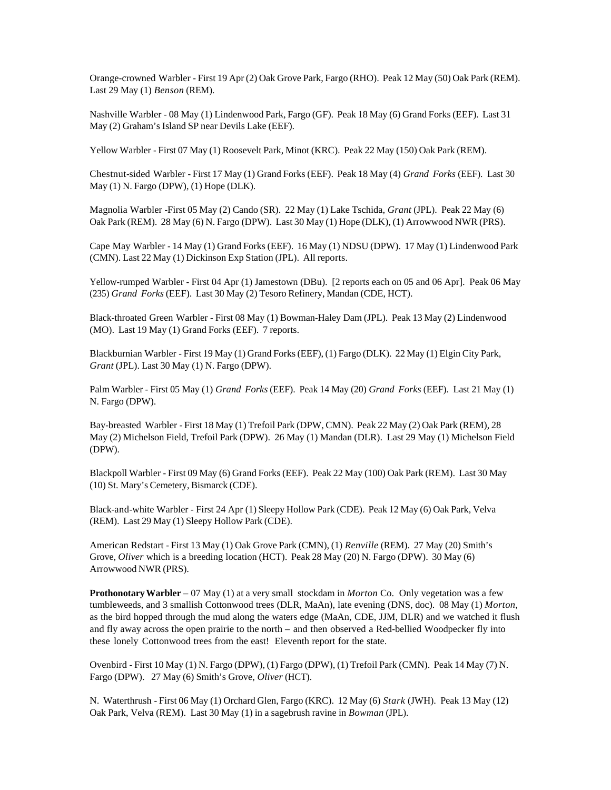Orange-crowned Warbler - First 19 Apr (2) Oak Grove Park, Fargo (RHO). Peak 12 May (50) Oak Park (REM). Last 29 May (1) *Benson* (REM).

Nashville Warbler - 08 May (1) Lindenwood Park, Fargo (GF). Peak 18 May (6) Grand Forks (EEF). Last 31 May (2) Graham's Island SP near Devils Lake (EEF).

Yellow Warbler - First 07 May (1) Roosevelt Park, Minot (KRC). Peak 22 May (150) Oak Park (REM).

Chestnut-sided Warbler - First 17 May (1) Grand Forks (EEF). Peak 18 May (4) *Grand Forks* (EEF). Last 30 May (1) N. Fargo (DPW), (1) Hope (DLK).

Magnolia Warbler -First 05 May (2) Cando (SR). 22 May (1) Lake Tschida, *Grant* (JPL). Peak 22 May (6) Oak Park (REM). 28 May (6) N. Fargo (DPW). Last 30 May (1) Hope (DLK), (1) Arrowwood NWR (PRS).

Cape May Warbler - 14 May (1) Grand Forks (EEF). 16 May (1) NDSU (DPW). 17 May (1) Lindenwood Park (CMN). Last 22 May (1) Dickinson Exp Station (JPL). All reports.

Yellow-rumped Warbler - First 04 Apr (1) Jamestown (DBu). [2 reports each on 05 and 06 Apr]. Peak 06 May (235) *Grand Forks* (EEF). Last 30 May (2) Tesoro Refinery, Mandan (CDE, HCT).

Black-throated Green Warbler - First 08 May (1) Bowman-Haley Dam (JPL). Peak 13 May (2) Lindenwood (MO). Last 19 May (1) Grand Forks (EEF). 7 reports.

Blackburnian Warbler - First 19 May (1) Grand Forks (EEF), (1) Fargo (DLK). 22 May (1) Elgin City Park, *Grant* (JPL). Last 30 May (1) N. Fargo (DPW).

Palm Warbler - First 05 May (1) *Grand Forks* (EEF). Peak 14 May (20) *Grand Forks* (EEF). Last 21 May (1) N. Fargo (DPW).

Bay-breasted Warbler - First 18 May (1) Trefoil Park (DPW, CMN). Peak 22 May (2) Oak Park (REM), 28 May (2) Michelson Field, Trefoil Park (DPW). 26 May (1) Mandan (DLR). Last 29 May (1) Michelson Field (DPW).

Blackpoll Warbler - First 09 May (6) Grand Forks (EEF). Peak 22 May (100) Oak Park (REM). Last 30 May (10) St. Mary's Cemetery, Bismarck (CDE).

Black-and-white Warbler - First 24 Apr (1) Sleepy Hollow Park (CDE). Peak 12 May (6) Oak Park, Velva (REM). Last 29 May (1) Sleepy Hollow Park (CDE).

American Redstart - First 13 May (1) Oak Grove Park (CMN), (1) *Renville* (REM). 27 May (20) Smith's Grove, *Oliver* which is a breeding location (HCT). Peak 28 May (20) N. Fargo (DPW). 30 May (6) Arrowwood NWR (PRS).

**Prothonotary Warbler** – 07 May (1) at a very small stockdam in *Morton* Co. Only vegetation was a few tumbleweeds, and 3 smallish Cottonwood trees (DLR, MaAn), late evening (DNS, doc). 08 May (1) *Morton*, as the bird hopped through the mud along the waters edge (MaAn, CDE, JJM, DLR) and we watched it flush and fly away across the open prairie to the north – and then observed a Red-bellied Woodpecker fly into these lonely Cottonwood trees from the east! Eleventh report for the state.

Ovenbird - First 10 May (1) N. Fargo (DPW), (1) Fargo (DPW), (1) Trefoil Park (CMN). Peak 14 May (7) N. Fargo (DPW). 27 May (6) Smith's Grove, *Oliver* (HCT).

N. Waterthrush - First 06 May (1) Orchard Glen, Fargo (KRC). 12 May (6) *Stark* (JWH). Peak 13 May (12) Oak Park, Velva (REM). Last 30 May (1) in a sagebrush ravine in *Bowman* (JPL).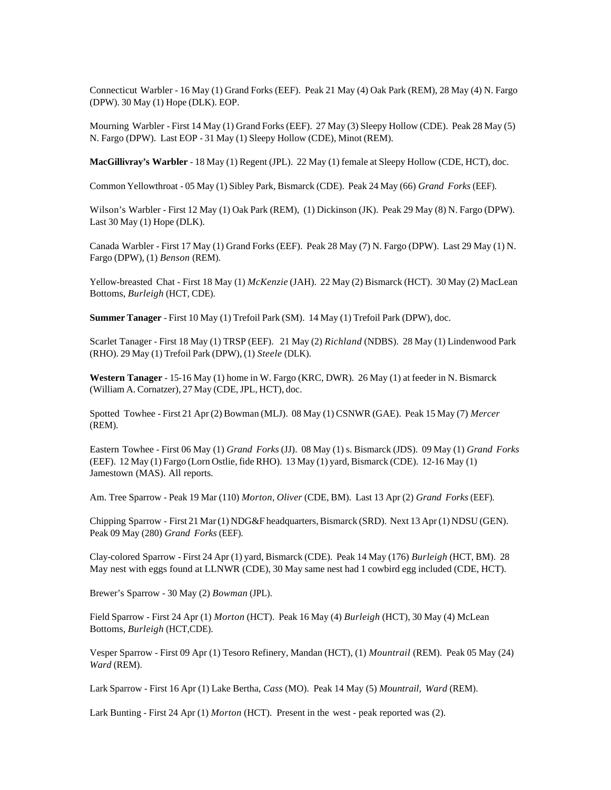Connecticut Warbler - 16 May (1) Grand Forks (EEF). Peak 21 May (4) Oak Park (REM), 28 May (4) N. Fargo (DPW). 30 May (1) Hope (DLK). EOP.

Mourning Warbler - First 14 May (1) Grand Forks (EEF). 27 May (3) Sleepy Hollow (CDE). Peak 28 May (5) N. Fargo (DPW). Last EOP - 31 May (1) Sleepy Hollow (CDE), Minot (REM).

**MacGillivray's Warbler** - 18 May (1) Regent (JPL). 22 May (1) female at Sleepy Hollow (CDE, HCT), doc.

Common Yellowthroat - 05 May (1) Sibley Park, Bismarck (CDE). Peak 24 May (66) *Grand Forks* (EEF).

Wilson's Warbler - First 12 May (1) Oak Park (REM), (1) Dickinson (JK). Peak 29 May (8) N. Fargo (DPW). Last 30 May (1) Hope (DLK).

Canada Warbler - First 17 May (1) Grand Forks (EEF). Peak 28 May (7) N. Fargo (DPW). Last 29 May (1) N. Fargo (DPW), (1) *Benson* (REM).

Yellow-breasted Chat - First 18 May (1) *McKenzie* (JAH). 22 May (2) Bismarck (HCT). 30 May (2) MacLean Bottoms, *Burleigh* (HCT, CDE).

**Summer Tanager** - First 10 May (1) Trefoil Park (SM). 14 May (1) Trefoil Park (DPW), doc.

Scarlet Tanager - First 18 May (1) TRSP (EEF). 21 May (2) *Richland* (NDBS). 28 May (1) Lindenwood Park (RHO). 29 May (1) Trefoil Park (DPW), (1) *Steele* (DLK).

**Western Tanager** - 15-16 May (1) home in W. Fargo (KRC, DWR). 26 May (1) at feeder in N. Bismarck (William A. Cornatzer), 27 May (CDE, JPL, HCT), doc.

Spotted Towhee - First 21 Apr (2) Bowman (MLJ). 08 May (1) CSNWR (GAE). Peak 15 May (7) *Mercer* (REM).

Eastern Towhee - First 06 May (1) *Grand Forks* (JJ). 08 May (1) s. Bismarck (JDS). 09 May (1) *Grand Forks* (EEF). 12 May (1) Fargo (Lorn Ostlie, fide RHO). 13 May (1) yard, Bismarck (CDE). 12-16 May (1) Jamestown (MAS). All reports.

Am. Tree Sparrow - Peak 19 Mar (110) *Morton*, *Oliver* (CDE, BM). Last 13 Apr (2) *Grand Forks* (EEF).

Chipping Sparrow - First 21 Mar (1) NDG&F headquarters, Bismarck (SRD). Next 13 Apr (1) NDSU (GEN). Peak 09 May (280) *Grand Forks* (EEF).

Clay-colored Sparrow - First 24 Apr (1) yard, Bismarck (CDE). Peak 14 May (176) *Burleigh* (HCT, BM). 28 May nest with eggs found at LLNWR (CDE), 30 May same nest had 1 cowbird egg included (CDE, HCT).

Brewer's Sparrow - 30 May (2) *Bowman* (JPL).

Field Sparrow - First 24 Apr (1) *Morton* (HCT). Peak 16 May (4) *Burleigh* (HCT), 30 May (4) McLean Bottoms, *Burleigh* (HCT,CDE).

Vesper Sparrow - First 09 Apr (1) Tesoro Refinery, Mandan (HCT), (1) *Mountrail* (REM). Peak 05 May (24) *Ward* (REM).

Lark Sparrow - First 16 Apr (1) Lake Bertha, *Cass* (MO). Peak 14 May (5) *Mountrail, Ward* (REM).

Lark Bunting - First 24 Apr (1) *Morton* (HCT). Present in the west - peak reported was (2).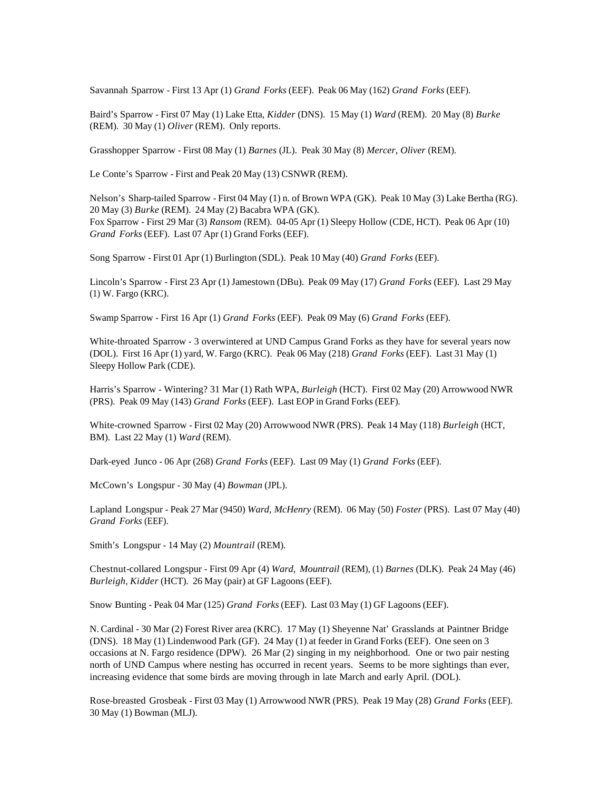Savannah Sparrow - First 13 Apr (1) *Grand Forks* (EEF). Peak 06 May (162) *Grand Forks* (EEF).

Baird's Sparrow - First 07 May (1) Lake Etta, *Kidder* (DNS). 15 May (1) *Ward* (REM). 20 May (8) *Burke* (REM). 30 May (1) *Oliver* (REM). Only reports.

Grasshopper Sparrow - First 08 May (1) *Barnes* (JL). Peak 30 May (8) *Mercer, Oliver* (REM).

Le Conte's Sparrow - First and Peak 20 May (13) CSNWR (REM).

Nelson's Sharp-tailed Sparrow - First 04 May (1) n. of Brown WPA (GK). Peak 10 May (3) Lake Bertha (RG). 20 May (3) *Burke* (REM). 24 May (2) Bacabra WPA (GK). Fox Sparrow - First 29 Mar (3) *Ransom* (REM). 04-05 Apr (1) Sleepy Hollow (CDE, HCT). Peak 06 Apr (10) *Grand Forks* (EEF). Last 07 Apr (1) Grand Forks (EEF).

Song Sparrow - First 01 Apr (1) Burlington (SDL). Peak 10 May (40) *Grand Forks* (EEF).

Lincoln's Sparrow - First 23 Apr (1) Jamestown (DBu). Peak 09 May (17) *Grand Forks* (EEF). Last 29 May (1) W. Fargo (KRC).

Swamp Sparrow - First 16 Apr (1) *Grand Forks* (EEF). Peak 09 May (6) *Grand Forks* (EEF).

White-throated Sparrow - 3 overwintered at UND Campus Grand Forks as they have for several years now (DOL). First 16 Apr (1) yard, W. Fargo (KRC). Peak 06 May (218) *Grand Forks* (EEF). Last 31 May (1) Sleepy Hollow Park (CDE).

Harris's Sparrow - Wintering? 31 Mar (1) Rath WPA, *Burleigh* (HCT). First 02 May (20) Arrowwood NWR (PRS). Peak 09 May (143) *Grand Forks* (EEF). Last EOP in Grand Forks (EEF).

White-crowned Sparrow - First 02 May (20) Arrowwood NWR (PRS). Peak 14 May (118) *Burleigh* (HCT, BM). Last 22 May (1) *Ward* (REM).

Dark-eyed Junco - 06 Apr (268) *Grand Forks* (EEF). Last 09 May (1) *Grand Forks* (EEF).

McCown's Longspur - 30 May (4) *Bowman* (JPL).

Lapland Longspur - Peak 27 Mar (9450) *Ward, McHenry* (REM). 06 May (50) *Foster* (PRS). Last 07 May (40) *Grand Forks* (EEF).

Smith's Longspur - 14 May (2) *Mountrail* (REM).

Chestnut-collared Longspur - First 09 Apr (4) *Ward, Mountrail* (REM), (1) *Barnes* (DLK). Peak 24 May (46) *Burleigh*, *Kidder* (HCT). 26 May (pair) at GF Lagoons (EEF).

Snow Bunting - Peak 04 Mar (125) *Grand Forks* (EEF). Last 03 May (1) GF Lagoons (EEF).

N. Cardinal - 30 Mar (2) Forest River area (KRC). 17 May (1) Sheyenne Nat' Grasslands at Paintner Bridge (DNS). 18 May (1) Lindenwood Park (GF). 24 May (1) at feeder in Grand Forks (EEF). One seen on 3 occasions at N. Fargo residence (DPW). 26 Mar (2) singing in my neighborhood. One or two pair nesting north of UND Campus where nesting has occurred in recent years. Seems to be more sightings than ever, increasing evidence that some birds are moving through in late March and early April. (DOL).

Rose-breasted Grosbeak - First 03 May (1) Arrowwood NWR (PRS). Peak 19 May (28) *Grand Forks* (EEF). 30 May (1) Bowman (MLJ).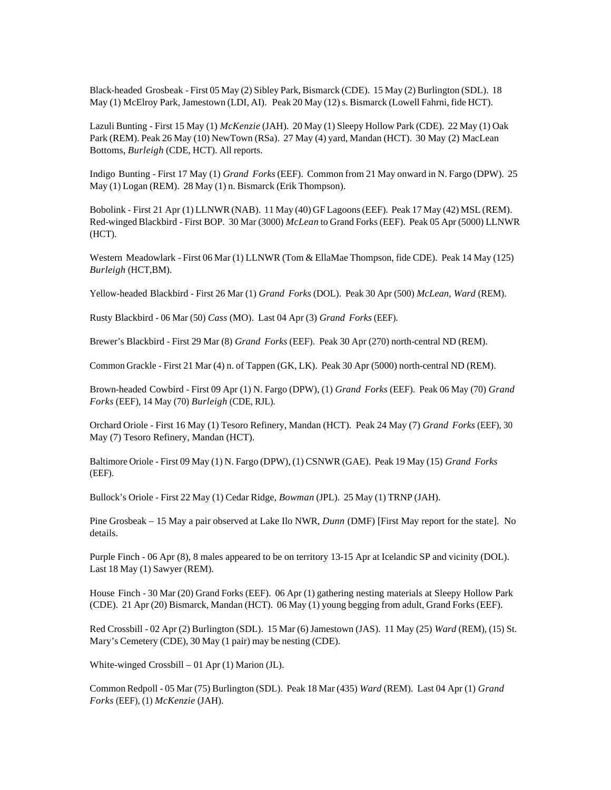Black-headed Grosbeak - First 05 May (2) Sibley Park, Bismarck (CDE). 15 May (2) Burlington (SDL). 18 May (1) McElroy Park, Jamestown (LDI, AI). Peak 20 May (12) s. Bismarck (Lowell Fahrni, fide HCT).

Lazuli Bunting - First 15 May (1) *McKenzie* (JAH). 20 May (1) Sleepy Hollow Park (CDE). 22 May (1) Oak Park (REM). Peak 26 May (10) NewTown (RSa). 27 May (4) yard, Mandan (HCT). 30 May (2) MacLean Bottoms, *Burleigh* (CDE, HCT). All reports.

Indigo Bunting - First 17 May (1) *Grand Forks* (EEF). Common from 21 May onward in N. Fargo (DPW). 25 May (1) Logan (REM). 28 May (1) n. Bismarck (Erik Thompson).

Bobolink - First 21 Apr (1) LLNWR (NAB). 11 May (40) GF Lagoons (EEF). Peak 17 May (42) MSL (REM). Red-winged Blackbird - First BOP. 30 Mar (3000) *McLean* to Grand Forks (EEF). Peak 05 Apr (5000) LLNWR (HCT).

Western Meadowlark - First 06 Mar (1) LLNWR (Tom & EllaMae Thompson, fide CDE). Peak 14 May (125) *Burleigh* (HCT,BM).

Yellow-headed Blackbird - First 26 Mar (1) *Grand Forks* (DOL). Peak 30 Apr (500) *McLean, Ward* (REM).

Rusty Blackbird - 06 Mar (50) *Cass* (MO). Last 04 Apr (3) *Grand Forks* (EEF).

Brewer's Blackbird - First 29 Mar (8) *Grand Forks* (EEF). Peak 30 Apr (270) north-central ND (REM).

Common Grackle - First 21 Mar (4) n. of Tappen (GK, LK). Peak 30 Apr (5000) north-central ND (REM).

Brown-headed Cowbird - First 09 Apr (1) N. Fargo (DPW), (1) *Grand Forks* (EEF). Peak 06 May (70) *Grand Forks* (EEF), 14 May (70) *Burleigh* (CDE, RJL).

Orchard Oriole - First 16 May (1) Tesoro Refinery, Mandan (HCT). Peak 24 May (7) *Grand Forks* (EEF), 30 May (7) Tesoro Refinery, Mandan (HCT).

Baltimore Oriole - First 09 May (1) N. Fargo (DPW), (1) CSNWR (GAE). Peak 19 May (15) *Grand Forks* (EEF).

Bullock's Oriole - First 22 May (1) Cedar Ridge, *Bowman* (JPL). 25 May (1) TRNP (JAH).

Pine Grosbeak – 15 May a pair observed at Lake Ilo NWR, *Dunn* (DMF) [First May report for the state]. No details.

Purple Finch - 06 Apr (8), 8 males appeared to be on territory 13-15 Apr at Icelandic SP and vicinity (DOL). Last 18 May (1) Sawyer (REM).

House Finch - 30 Mar (20) Grand Forks (EEF). 06 Apr (1) gathering nesting materials at Sleepy Hollow Park (CDE). 21 Apr (20) Bismarck, Mandan (HCT). 06 May (1) young begging from adult, Grand Forks (EEF).

Red Crossbill - 02 Apr (2) Burlington (SDL). 15 Mar (6) Jamestown (JAS). 11 May (25) *Ward* (REM), (15) St. Mary's Cemetery (CDE), 30 May (1 pair) may be nesting (CDE).

White-winged Crossbill – 01 Apr (1) Marion (JL).

Common Redpoll - 05 Mar (75) Burlington (SDL). Peak 18 Mar (435) *Ward* (REM). Last 04 Apr (1) *Grand Forks* (EEF), (1) *McKenzie* (JAH).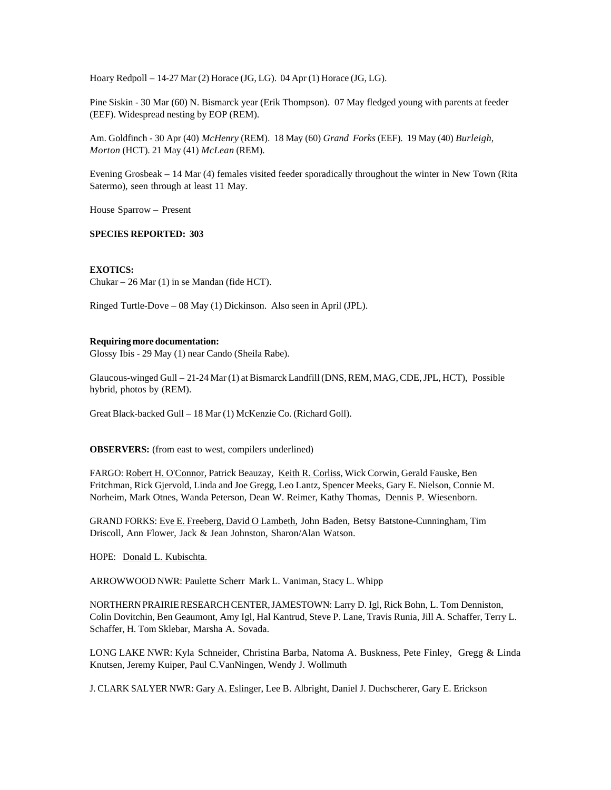Hoary Redpoll – 14-27 Mar (2) Horace (JG, LG). 04 Apr (1) Horace (JG, LG).

Pine Siskin - 30 Mar (60) N. Bismarck year (Erik Thompson). 07 May fledged young with parents at feeder (EEF). Widespread nesting by EOP (REM).

Am. Goldfinch - 30 Apr (40) *McHenry* (REM). 18 May (60) *Grand Forks* (EEF). 19 May (40) *Burleigh*, *Morton* (HCT). 21 May (41) *McLean* (REM).

Evening Grosbeak – 14 Mar (4) females visited feeder sporadically throughout the winter in New Town (Rita Satermo), seen through at least 11 May.

House Sparrow – Present

### **SPECIES REPORTED: 303**

### **EXOTICS:**

Chukar – 26 Mar (1) in se Mandan (fide HCT).

Ringed Turtle-Dove – 08 May (1) Dickinson. Also seen in April (JPL).

#### **Requiring more documentation:**

Glossy Ibis - 29 May (1) near Cando (Sheila Rabe).

Glaucous-winged Gull – 21-24 Mar (1) at Bismarck Landfill (DNS, REM, MAG, CDE, JPL, HCT), Possible hybrid, photos by (REM).

Great Black-backed Gull – 18 Mar (1) McKenzie Co. (Richard Goll).

**OBSERVERS:** (from east to west, compilers underlined)

FARGO: Robert H. O'Connor, Patrick Beauzay, Keith R. Corliss, Wick Corwin, Gerald Fauske, Ben Fritchman, Rick Gjervold, Linda and Joe Gregg, Leo Lantz, Spencer Meeks, Gary E. Nielson, Connie M. Norheim, Mark Otnes, Wanda Peterson, Dean W. Reimer, Kathy Thomas, Dennis P. Wiesenborn.

GRAND FORKS: Eve E. Freeberg, David O Lambeth, John Baden, Betsy Batstone-Cunningham, Tim Driscoll, Ann Flower, Jack & Jean Johnston, Sharon/Alan Watson.

HOPE: Donald L. Kubischta.

ARROWWOOD NWR: Paulette Scherr Mark L. Vaniman, Stacy L. Whipp

NORTHERN PRAIRIE RESEARCH CENTER, JAMESTOWN: Larry D. Igl, Rick Bohn, L. Tom Denniston, Colin Dovitchin, Ben Geaumont, Amy Igl, Hal Kantrud, Steve P. Lane, Travis Runia, Jill A. Schaffer, Terry L. Schaffer, H. Tom Sklebar, Marsha A. Sovada.

LONG LAKE NWR: Kyla Schneider, Christina Barba, Natoma A. Buskness, Pete Finley, Gregg & Linda Knutsen, Jeremy Kuiper, Paul C.VanNingen, Wendy J. Wollmuth

J. CLARK SALYER NWR: Gary A. Eslinger, Lee B. Albright, Daniel J. Duchscherer, Gary E. Erickson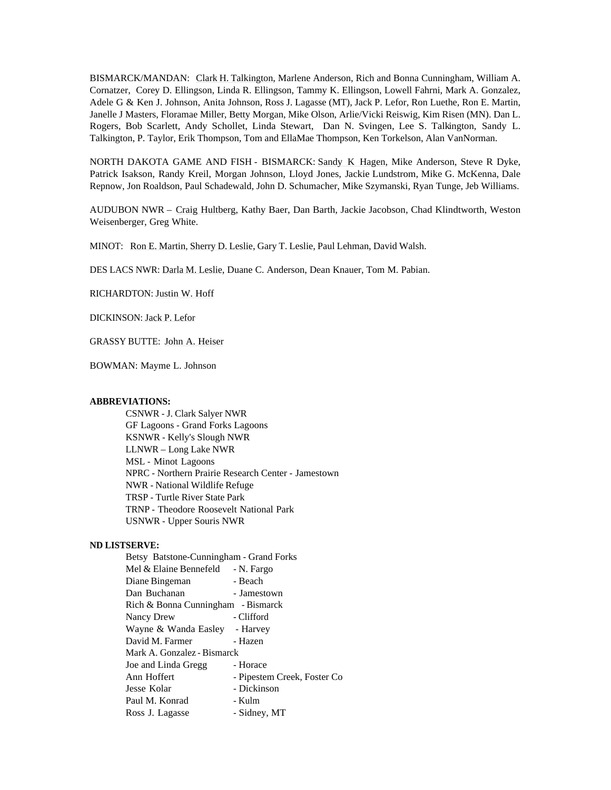BISMARCK/MANDAN: Clark H. Talkington, Marlene Anderson, Rich and Bonna Cunningham, William A. Cornatzer, Corey D. Ellingson, Linda R. Ellingson, Tammy K. Ellingson, Lowell Fahrni, Mark A. Gonzalez, Adele G & Ken J. Johnson, Anita Johnson, Ross J. Lagasse (MT), Jack P. Lefor, Ron Luethe, Ron E. Martin, Janelle J Masters, Floramae Miller, Betty Morgan, Mike Olson, Arlie/Vicki Reiswig, Kim Risen (MN). Dan L. Rogers, Bob Scarlett, Andy Schollet, Linda Stewart, Dan N. Svingen, Lee S. Talkington, Sandy L. Talkington, P. Taylor, Erik Thompson, Tom and EllaMae Thompson, Ken Torkelson, Alan VanNorman.

NORTH DAKOTA GAME AND FISH - BISMARCK: Sandy K Hagen, Mike Anderson, Steve R Dyke, Patrick Isakson, Randy Kreil, Morgan Johnson, Lloyd Jones, Jackie Lundstrom, Mike G. McKenna, Dale Repnow, Jon Roaldson, Paul Schadewald, John D. Schumacher, Mike Szymanski, Ryan Tunge, Jeb Williams.

AUDUBON NWR – Craig Hultberg, Kathy Baer, Dan Barth, Jackie Jacobson, Chad Klindtworth, Weston Weisenberger, Greg White.

MINOT: Ron E. Martin, Sherry D. Leslie, Gary T. Leslie, Paul Lehman, David Walsh.

DES LACS NWR: Darla M. Leslie, Duane C. Anderson, Dean Knauer, Tom M. Pabian.

RICHARDTON: Justin W. Hoff

DICKINSON: Jack P. Lefor

GRASSY BUTTE: John A. Heiser

BOWMAN: Mayme L. Johnson

## **ABBREVIATIONS:**

CSNWR - J. Clark Salyer NWR GF Lagoons - Grand Forks Lagoons KSNWR - Kelly's Slough NWR LLNWR – Long Lake NWR MSL - Minot Lagoons NPRC - Northern Prairie Research Center - Jamestown NWR - National Wildlife Refuge TRSP - Turtle River State Park TRNP - Theodore Roosevelt National Park USNWR - Upper Souris NWR

### **ND LISTSERVE:**

| Betsy Batstone-Cunningham - Grand Forks |                             |
|-----------------------------------------|-----------------------------|
| Mel & Elaine Bennefeld - N. Fargo       |                             |
| Diane Bingeman                          | - Beach                     |
| Dan Buchanan                            | - Jamestown                 |
| Rich & Bonna Cunningham - Bismarck      |                             |
| Nancy Drew                              | - Clifford                  |
| Wayne & Wanda Easley - Harvey           |                             |
| David M. Farmer                         | - Hazen                     |
| Mark A. Gonzalez - Bismarck             |                             |
| Joe and Linda Gregg                     | - Horace                    |
| Ann Hoffert                             | - Pipestem Creek, Foster Co |
| Jesse Kolar                             | - Dickinson                 |
| Paul M. Konrad                          | - Kulm                      |
| Ross J. Lagasse                         | - Sidney, MT                |